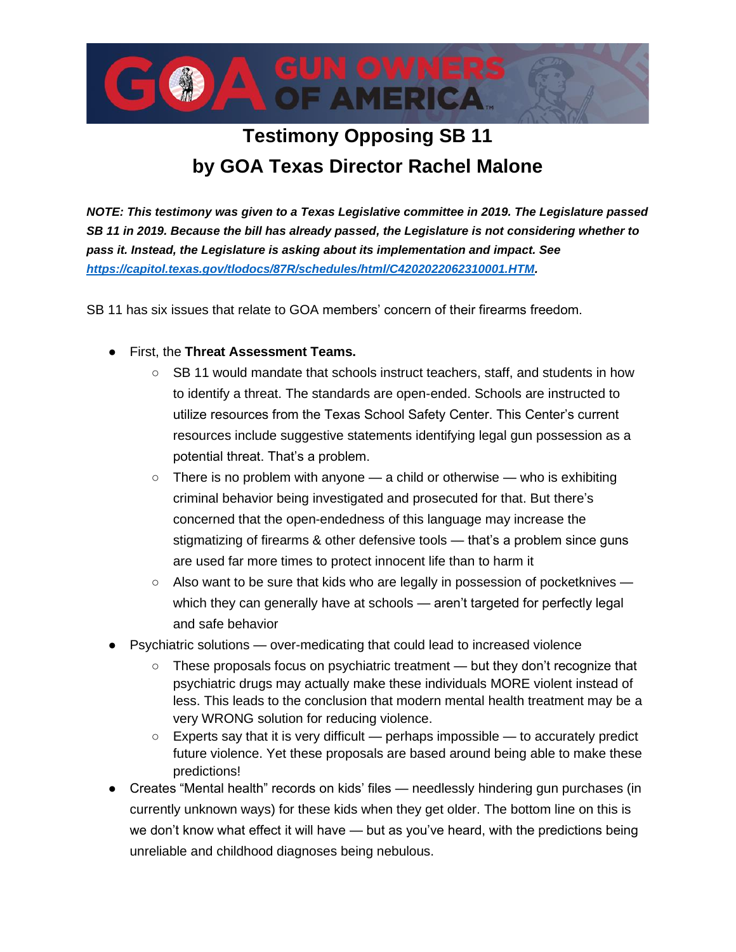

## **Testimony Opposing SB 11 by GOA Texas Director Rachel Malone**

*NOTE: This testimony was given to a Texas Legislative committee in 2019. The Legislature passed SB 11 in 2019. Because the bill has already passed, the Legislature is not considering whether to pass it. Instead, the Legislature is asking about its implementation and impact. See [https://capitol.texas.gov/tlodocs/87R/schedules/html/C4202022062310001.HTM.](https://capitol.texas.gov/tlodocs/87R/schedules/html/C4202022062310001.HTM)* 

SB 11 has six issues that relate to GOA members' concern of their firearms freedom.

- First, the **Threat Assessment Teams.**
	- SB 11 would mandate that schools instruct teachers, staff, and students in how to identify a threat. The standards are open-ended. Schools are instructed to utilize resources from the Texas School Safety Center. This Center's current resources include suggestive statements identifying legal gun possession as a potential threat. That's a problem.
	- $\circ$  There is no problem with anyone a child or otherwise who is exhibiting criminal behavior being investigated and prosecuted for that. But there's concerned that the open-endedness of this language may increase the stigmatizing of firearms & other defensive tools — that's a problem since guns are used far more times to protect innocent life than to harm it
	- $\circ$  Also want to be sure that kids who are legally in possession of pocketknives which they can generally have at schools — aren't targeted for perfectly legal and safe behavior
- Psychiatric solutions over-medicating that could lead to increased violence
	- These proposals focus on psychiatric treatment but they don't recognize that psychiatric drugs may actually make these individuals MORE violent instead of less. This leads to the conclusion that modern mental health treatment may be a very WRONG solution for reducing violence.
	- $\circ$  Experts say that it is very difficult perhaps impossible to accurately predict future violence. Yet these proposals are based around being able to make these predictions!
- Creates "Mental health" records on kids' files needlessly hindering gun purchases (in currently unknown ways) for these kids when they get older. The bottom line on this is we don't know what effect it will have — but as you've heard, with the predictions being unreliable and childhood diagnoses being nebulous.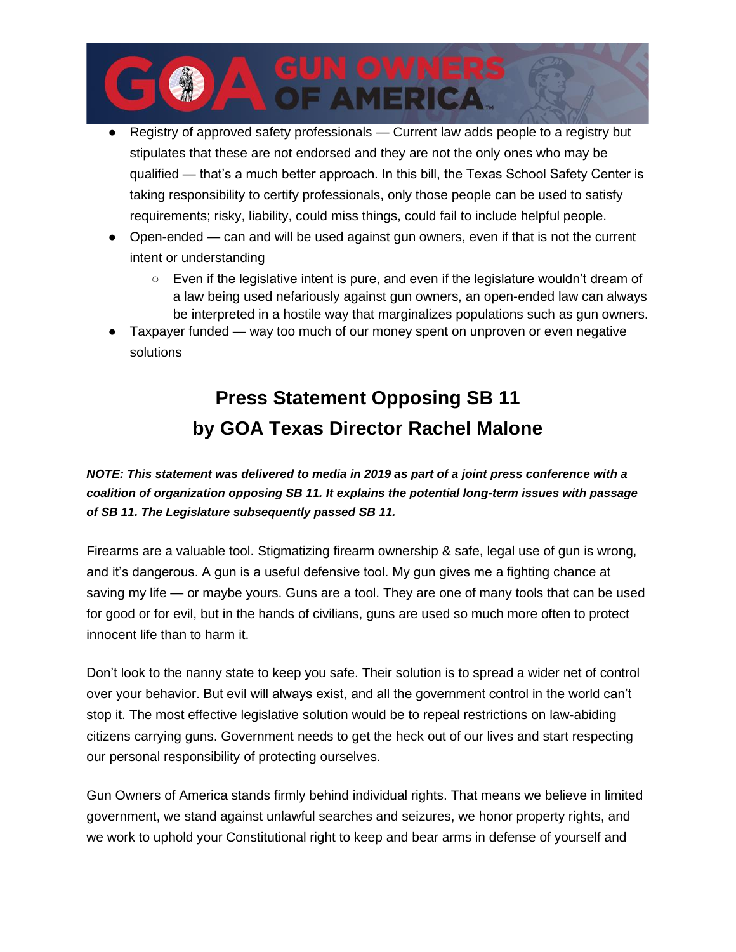

- Registry of approved safety professionals Current law adds people to a registry but stipulates that these are not endorsed and they are not the only ones who may be qualified — that's a much better approach. In this bill, the Texas School Safety Center is taking responsibility to certify professionals, only those people can be used to satisfy requirements; risky, liability, could miss things, could fail to include helpful people.
- Open-ended can and will be used against gun owners, even if that is not the current intent or understanding
	- Even if the legislative intent is pure, and even if the legislature wouldn't dream of a law being used nefariously against gun owners, an open-ended law can always be interpreted in a hostile way that marginalizes populations such as gun owners.
- Taxpayer funded way too much of our money spent on unproven or even negative solutions

## **Press Statement Opposing SB 11 by GOA Texas Director Rachel Malone**

## *NOTE: This statement was delivered to media in 2019 as part of a joint press conference with a coalition of organization opposing SB 11. It explains the potential long-term issues with passage of SB 11. The Legislature subsequently passed SB 11.*

Firearms are a valuable tool. Stigmatizing firearm ownership & safe, legal use of gun is wrong, and it's dangerous. A gun is a useful defensive tool. My gun gives me a fighting chance at saving my life — or maybe yours. Guns are a tool. They are one of many tools that can be used for good or for evil, but in the hands of civilians, guns are used so much more often to protect innocent life than to harm it.

Don't look to the nanny state to keep you safe. Their solution is to spread a wider net of control over your behavior. But evil will always exist, and all the government control in the world can't stop it. The most effective legislative solution would be to repeal restrictions on law-abiding citizens carrying guns. Government needs to get the heck out of our lives and start respecting our personal responsibility of protecting ourselves.

Gun Owners of America stands firmly behind individual rights. That means we believe in limited government, we stand against unlawful searches and seizures, we honor property rights, and we work to uphold your Constitutional right to keep and bear arms in defense of yourself and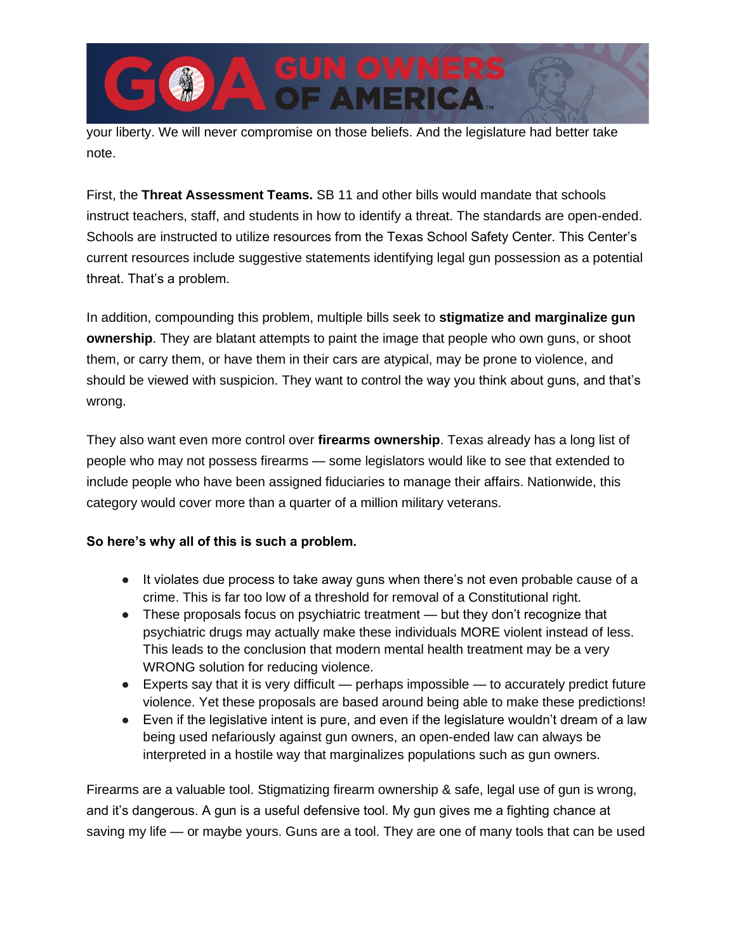your liberty. We will never compromise on those beliefs. And the legislature had better take note.

**MERIC** 

First, the **Threat Assessment Teams.** SB 11 and other bills would mandate that schools instruct teachers, staff, and students in how to identify a threat. The standards are open-ended. Schools are instructed to utilize resources from the Texas School Safety Center. This Center's current resources include suggestive statements identifying legal gun possession as a potential threat. That's a problem.

In addition, compounding this problem, multiple bills seek to **stigmatize and marginalize gun ownership**. They are blatant attempts to paint the image that people who own guns, or shoot them, or carry them, or have them in their cars are atypical, may be prone to violence, and should be viewed with suspicion. They want to control the way you think about guns, and that's wrong.

They also want even more control over **firearms ownership**. Texas already has a long list of people who may not possess firearms — some legislators would like to see that extended to include people who have been assigned fiduciaries to manage their affairs. Nationwide, this category would cover more than a quarter of a million military veterans.

## **So here's why all of this is such a problem.**

- It violates due process to take away guns when there's not even probable cause of a crime. This is far too low of a threshold for removal of a Constitutional right.
- These proposals focus on psychiatric treatment but they don't recognize that psychiatric drugs may actually make these individuals MORE violent instead of less. This leads to the conclusion that modern mental health treatment may be a very WRONG solution for reducing violence.
- Experts say that it is very difficult perhaps impossible to accurately predict future violence. Yet these proposals are based around being able to make these predictions!
- Even if the legislative intent is pure, and even if the legislature wouldn't dream of a law being used nefariously against gun owners, an open-ended law can always be interpreted in a hostile way that marginalizes populations such as gun owners.

Firearms are a valuable tool. Stigmatizing firearm ownership & safe, legal use of gun is wrong, and it's dangerous. A gun is a useful defensive tool. My gun gives me a fighting chance at saving my life — or maybe yours. Guns are a tool. They are one of many tools that can be used